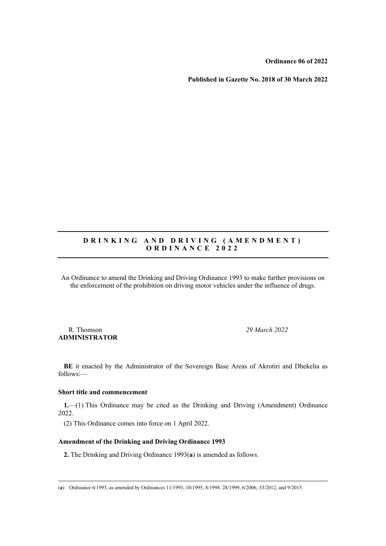**Ordinance 06 of 2022** 

**Published in Gazette No. 2018 of 30 March 2022** 

# **D R I N K I N G A N D D R I V I N G ( A M E N D M E N T ) O R D I N A N C E 2 0 2 2**

An Ordinance to amend the Drinking and Driving Ordinance 1993 to make further provisions on the enforcement of the prohibition on driving motor vehicles under the influence of drugs.

 R. Thomson *29 March 2022* **ADMINISTRATOR** 

**BE** it enacted by the Administrator of the Sovereign Base Areas of Akrotiri and Dhekelia as follows:—

## **Short title and commencement**

**1.**—(1) This Ordinance may be cited as the Drinking and Driving (Amendment) Ordinance 2022.

(2) This Ordinance comes into force on 1 April 2022.

## **Amendment of the Drinking and Driving Ordinance 1993**

**2.** The Drinking and Driving Ordinance 1993(**a**) is amended as follows.

<sup>(</sup>**a**) Ordinance 6/1993, as amended by Ordinances 11/1993, 10/1995, 8/1998. 28/1999, 6/2006, 33/2012, and 9/2015.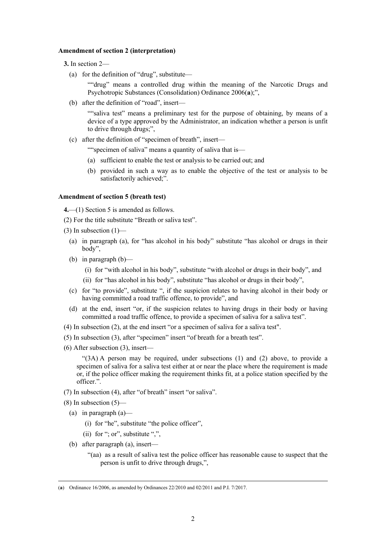#### **Amendment of section 2 (interpretation)**

**3.** In section 2—

(a) for the definition of "drug", substitute—

""drug" means a controlled drug within the meaning of the Narcotic Drugs and Psychotropic Substances (Consolidation) Ordinance 2006(**a**);",

(b) after the definition of "road", insert—

""saliva test" means a preliminary test for the purpose of obtaining, by means of a device of a type approved by the Administrator, an indication whether a person is unfit to drive through drugs;",

(c) after the definition of "specimen of breath", insert—

""specimen of saliva" means a quantity of saliva that is—

- (a) sufficient to enable the test or analysis to be carried out; and
- (b) provided in such a way as to enable the objective of the test or analysis to be satisfactorily achieved;".

## **Amendment of section 5 (breath test)**

**4.**—(1) Section 5 is amended as follows.

- (2) For the title substitute "Breath or saliva test".
- (3) In subsection  $(1)$ 
	- (a) in paragraph (a), for "has alcohol in his body" substitute "has alcohol or drugs in their body",
	- (b) in paragraph (b)—
		- (i) for "with alcohol in his body", substitute "with alcohol or drugs in their body", and
		- (ii) for "has alcohol in his body", substitute "has alcohol or drugs in their body",
	- (c) for "to provide", substitute ", if the suspicion relates to having alcohol in their body or having committed a road traffic offence, to provide", and
	- (d) at the end, insert "or, if the suspicion relates to having drugs in their body or having committed a road traffic offence, to provide a specimen of saliva for a saliva test".
- (4) In subsection (2), at the end insert "or a specimen of saliva for a saliva test".
- (5) In subsection (3), after "specimen" insert "of breath for a breath test".
- (6) After subsection (3), insert—

"(3A) A person may be required, under subsections (1) and (2) above, to provide a specimen of saliva for a saliva test either at or near the place where the requirement is made or, if the police officer making the requirement thinks fit, at a police station specified by the officer.".

- (7) In subsection (4), after "of breath" insert "or saliva".
- $(8)$  In subsection  $(5)$ 
	- (a) in paragraph  $(a)$ 
		- (i) for "he", substitute "the police officer",
		- (ii) for "; or", substitute ",",
	- (b) after paragraph (a), insert—
		- "(aa) as a result of saliva test the police officer has reasonable cause to suspect that the person is unfit to drive through drugs,",

<sup>(</sup>**a**) Ordinance 16/2006, as amended by Ordinances 22/2010 and 02/2011 and P.I. 7/2017.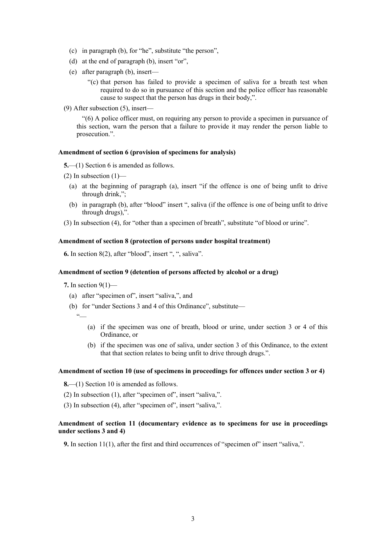- (c) in paragraph (b), for "he", substitute "the person",
- (d) at the end of paragraph (b), insert "or",
- (e) after paragraph (b), insert—
	- "(c) that person has failed to provide a specimen of saliva for a breath test when required to do so in pursuance of this section and the police officer has reasonable cause to suspect that the person has drugs in their body,".
- (9) After subsection (5), insert—

"(6) A police officer must, on requiring any person to provide a specimen in pursuance of this section, warn the person that a failure to provide it may render the person liable to prosecution.".

# **Amendment of section 6 (provision of specimens for analysis)**

**5.**—(1) Section 6 is amended as follows.

- (2) In subsection  $(1)$ 
	- (a) at the beginning of paragraph (a), insert "if the offence is one of being unfit to drive through drink,";
	- (b) in paragraph (b), after "blood" insert ", saliva (if the offence is one of being unfit to drive through drugs),".
- (3) In subsection (4), for "other than a specimen of breath", substitute "of blood or urine".

# **Amendment of section 8 (protection of persons under hospital treatment)**

**6.** In section 8(2), after "blood", insert ", ", saliva".

# **Amendment of section 9 (detention of persons affected by alcohol or a drug)**

**7.** In section 9(1)—

- (a) after "specimen of", insert "saliva,", and
- (b) for "under Sections 3 and 4 of this Ordinance", substitute—

 $^{12}$ 

- (a) if the specimen was one of breath, blood or urine, under section 3 or 4 of this Ordinance, or
- (b) if the specimen was one of saliva, under section 3 of this Ordinance, to the extent that that section relates to being unfit to drive through drugs.".

#### **Amendment of section 10 (use of specimens in proceedings for offences under section 3 or 4)**

- **8.**—(1) Section 10 is amended as follows.
- (2) In subsection (1), after "specimen of", insert "saliva,".
- (3) In subsection (4), after "specimen of", insert "saliva,".

# **Amendment of section 11 (documentary evidence as to specimens for use in proceedings under sections 3 and 4)**

**9.** In section 11(1), after the first and third occurrences of "specimen of" insert "saliva,".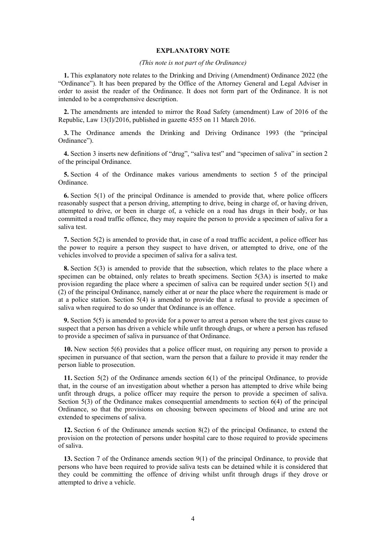### **EXPLANATORY NOTE**

## *(This note is not part of the Ordinance)*

**1.** This explanatory note relates to the Drinking and Driving (Amendment) Ordinance 2022 (the "Ordinance"). It has been prepared by the Office of the Attorney General and Legal Adviser in order to assist the reader of the Ordinance. It does not form part of the Ordinance. It is not intended to be a comprehensive description.

**2.** The amendments are intended to mirror the Road Safety (amendment) Law of 2016 of the Republic, Law 13(I)/2016, published in gazette 4555 on 11 March 2016.

**3.** The Ordinance amends the Drinking and Driving Ordinance 1993 (the "principal Ordinance").

**4.** Section 3 inserts new definitions of "drug", "saliva test" and "specimen of saliva" in section 2 of the principal Ordinance.

**5.** Section 4 of the Ordinance makes various amendments to section 5 of the principal Ordinance.

**6.** Section 5(1) of the principal Ordinance is amended to provide that, where police officers reasonably suspect that a person driving, attempting to drive, being in charge of, or having driven, attempted to drive, or been in charge of, a vehicle on a road has drugs in their body, or has committed a road traffic offence, they may require the person to provide a specimen of saliva for a saliva test.

**7.** Section 5(2) is amended to provide that, in case of a road traffic accident, a police officer has the power to require a person they suspect to have driven, or attempted to drive, one of the vehicles involved to provide a specimen of saliva for a saliva test.

**8.** Section 5(3) is amended to provide that the subsection, which relates to the place where a specimen can be obtained, only relates to breath specimens. Section 5(3A) is inserted to make provision regarding the place where a specimen of saliva can be required under section 5(1) and (2) of the principal Ordinance, namely either at or near the place where the requirement is made or at a police station. Section 5(4) is amended to provide that a refusal to provide a specimen of saliva when required to do so under that Ordinance is an offence.

**9.** Section 5(5) is amended to provide for a power to arrest a person where the test gives cause to suspect that a person has driven a vehicle while unfit through drugs, or where a person has refused to provide a specimen of saliva in pursuance of that Ordinance.

**10.** New section 5(6) provides that a police officer must, on requiring any person to provide a specimen in pursuance of that section, warn the person that a failure to provide it may render the person liable to prosecution.

**11.** Section 5(2) of the Ordinance amends section 6(1) of the principal Ordinance, to provide that, in the course of an investigation about whether a person has attempted to drive while being unfit through drugs, a police officer may require the person to provide a specimen of saliva. Section  $5(3)$  of the Ordinance makes consequential amendments to section  $6(4)$  of the principal Ordinance, so that the provisions on choosing between specimens of blood and urine are not extended to specimens of saliva.

**12.** Section 6 of the Ordinance amends section 8(2) of the principal Ordinance, to extend the provision on the protection of persons under hospital care to those required to provide specimens of saliva.

**13.** Section 7 of the Ordinance amends section 9(1) of the principal Ordinance, to provide that persons who have been required to provide saliva tests can be detained while it is considered that they could be committing the offence of driving whilst unfit through drugs if they drove or attempted to drive a vehicle.